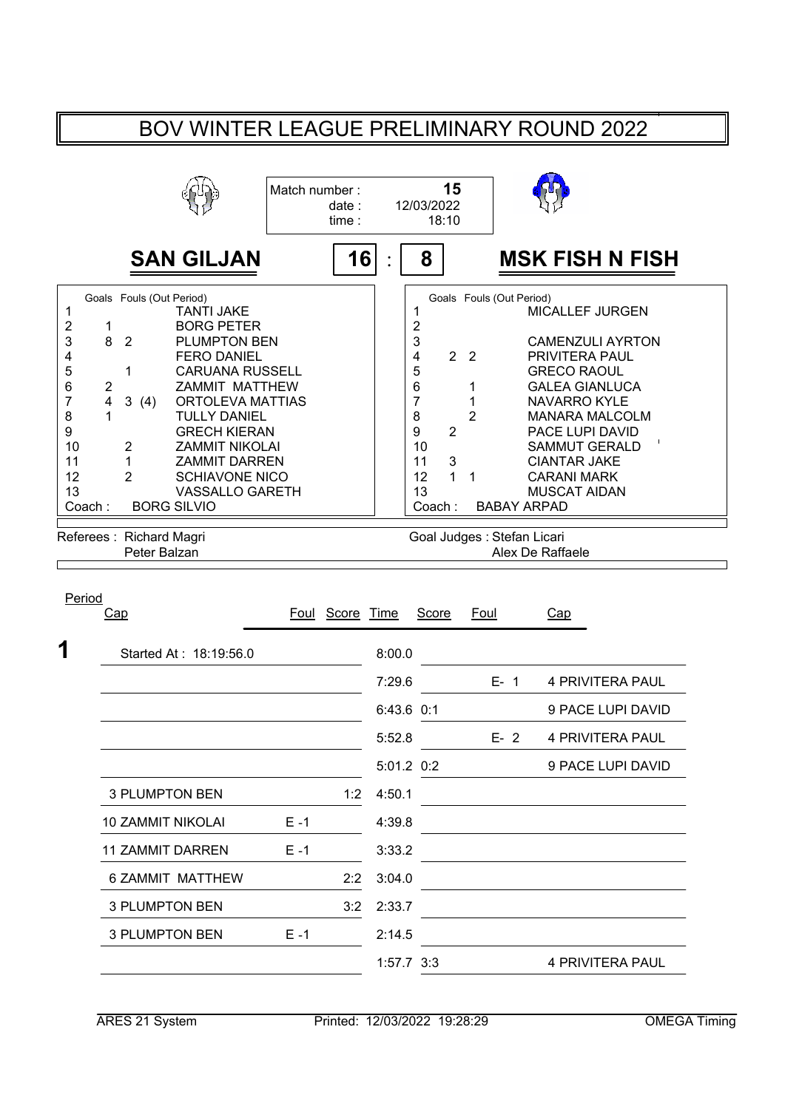## BOV WINTER LEAGUE PRELIMINARY ROUND 2022

|                                                                                       |                                                                                                                                                                                                                                                                                                                                                                                                                                                                               | Match number: | date:<br>time:  |            | 15<br>12/03/2022<br>18:10                                                                                                                             |                                                           |                                                |                                                                                                                                                                                                                                                                            |  |
|---------------------------------------------------------------------------------------|-------------------------------------------------------------------------------------------------------------------------------------------------------------------------------------------------------------------------------------------------------------------------------------------------------------------------------------------------------------------------------------------------------------------------------------------------------------------------------|---------------|-----------------|------------|-------------------------------------------------------------------------------------------------------------------------------------------------------|-----------------------------------------------------------|------------------------------------------------|----------------------------------------------------------------------------------------------------------------------------------------------------------------------------------------------------------------------------------------------------------------------------|--|
|                                                                                       | <b>SAN GILJAN</b>                                                                                                                                                                                                                                                                                                                                                                                                                                                             |               | 16              |            | 8                                                                                                                                                     |                                                           |                                                | <b>MSK FISH N FISH</b>                                                                                                                                                                                                                                                     |  |
| 1<br>$\mathbf 2$<br>3<br>4<br>5<br>6<br>7<br>8<br>9<br>10<br>11<br>12<br>13<br>Coach: | Goals Fouls (Out Period)<br><b>TANTI JAKE</b><br><b>BORG PETER</b><br>1<br>8<br>$\overline{2}$<br>PLUMPTON BEN<br><b>FERO DANIEL</b><br>$\mathbf{1}$<br><b>CARUANA RUSSELL</b><br>2<br>ZAMMIT MATTHEW<br>$\overline{\mathbf{4}}$<br>3(4)<br>ORTOLEVA MATTIAS<br><b>TULLY DANIEL</b><br><b>GRECH KIERAN</b><br>$\overline{c}$<br><b>ZAMMIT NIKOLAI</b><br>1<br><b>ZAMMIT DARREN</b><br>$\overline{2}$<br><b>SCHIAVONE NICO</b><br><b>VASSALLO GARETH</b><br><b>BORG SILVIO</b> |               |                 |            | 1<br>2<br>3<br>$\overline{\mathbf{4}}$<br>5<br>6<br>$\overline{7}$<br>8<br>9<br>$\overline{2}$<br>10<br>3<br>11<br>12<br>$\mathbf{1}$<br>13<br>Coach: | 2 <sub>2</sub><br>1<br>1<br>$\overline{2}$<br>$\mathbf 1$ | Goals Fouls (Out Period)<br><b>BABAY ARPAD</b> | MICALLEF JURGEN<br><b>CAMENZULI AYRTON</b><br>PRIVITERA PAUL<br><b>GRECO RAOUL</b><br><b>GALEA GIANLUCA</b><br><b>NAVARRO KYLE</b><br><b>MANARA MALCOLM</b><br>PACE LUPI DAVID<br><b>SAMMUT GERALD</b><br><b>CIANTAR JAKE</b><br><b>CARANI MARK</b><br><b>MUSCAT AIDAN</b> |  |
|                                                                                       | Referees: Richard Magri<br>Peter Balzan                                                                                                                                                                                                                                                                                                                                                                                                                                       |               |                 |            |                                                                                                                                                       |                                                           | Goal Judges: Stefan Licari<br>Alex De Raffaele |                                                                                                                                                                                                                                                                            |  |
| Period                                                                                | Cap                                                                                                                                                                                                                                                                                                                                                                                                                                                                           |               | Foul Score Time |            | Score                                                                                                                                                 | Foul                                                      | Cap                                            |                                                                                                                                                                                                                                                                            |  |
|                                                                                       | Started At: 18:19:56.0                                                                                                                                                                                                                                                                                                                                                                                                                                                        |               |                 | 8:00.0     |                                                                                                                                                       |                                                           |                                                |                                                                                                                                                                                                                                                                            |  |
|                                                                                       |                                                                                                                                                                                                                                                                                                                                                                                                                                                                               |               |                 | 7:29.6     |                                                                                                                                                       |                                                           | $E - 1$                                        | <b>4 PRIVITERA PAUL</b>                                                                                                                                                                                                                                                    |  |
|                                                                                       |                                                                                                                                                                                                                                                                                                                                                                                                                                                                               |               |                 | 6:43.6 0:1 |                                                                                                                                                       |                                                           |                                                | 9 PACE LUPI DAVID                                                                                                                                                                                                                                                          |  |
|                                                                                       |                                                                                                                                                                                                                                                                                                                                                                                                                                                                               |               |                 | 5:52.8     |                                                                                                                                                       |                                                           | $E-2$                                          | <b>4 PRIVITERA PAUL</b>                                                                                                                                                                                                                                                    |  |
|                                                                                       |                                                                                                                                                                                                                                                                                                                                                                                                                                                                               |               |                 | 5:01.2 0:2 |                                                                                                                                                       |                                                           |                                                | 9 PACE LUPI DAVID                                                                                                                                                                                                                                                          |  |
|                                                                                       | <b>3 PLUMPTON BEN</b>                                                                                                                                                                                                                                                                                                                                                                                                                                                         |               | 1:2             | 4:50.1     |                                                                                                                                                       |                                                           |                                                |                                                                                                                                                                                                                                                                            |  |
|                                                                                       | <b>10 ZAMMIT NIKOLAI</b>                                                                                                                                                                                                                                                                                                                                                                                                                                                      | $E - 1$       |                 | 4:39.8     |                                                                                                                                                       |                                                           |                                                |                                                                                                                                                                                                                                                                            |  |
|                                                                                       | <b>11 ZAMMIT DARREN</b>                                                                                                                                                                                                                                                                                                                                                                                                                                                       | $E - 1$       |                 | 3:33.2     |                                                                                                                                                       |                                                           |                                                |                                                                                                                                                                                                                                                                            |  |
|                                                                                       | 6 ZAMMIT MATTHEW                                                                                                                                                                                                                                                                                                                                                                                                                                                              |               | 2:2             | 3:04.0     |                                                                                                                                                       |                                                           |                                                |                                                                                                                                                                                                                                                                            |  |
|                                                                                       | <b>3 PLUMPTON BEN</b>                                                                                                                                                                                                                                                                                                                                                                                                                                                         |               | 3:2             | 2:33.7     |                                                                                                                                                       |                                                           |                                                |                                                                                                                                                                                                                                                                            |  |
|                                                                                       | <b>3 PLUMPTON BEN</b>                                                                                                                                                                                                                                                                                                                                                                                                                                                         | $E - 1$       |                 | 2:14.5     |                                                                                                                                                       |                                                           |                                                |                                                                                                                                                                                                                                                                            |  |

1:57.7 3:3 PRIVITERA PAUL 4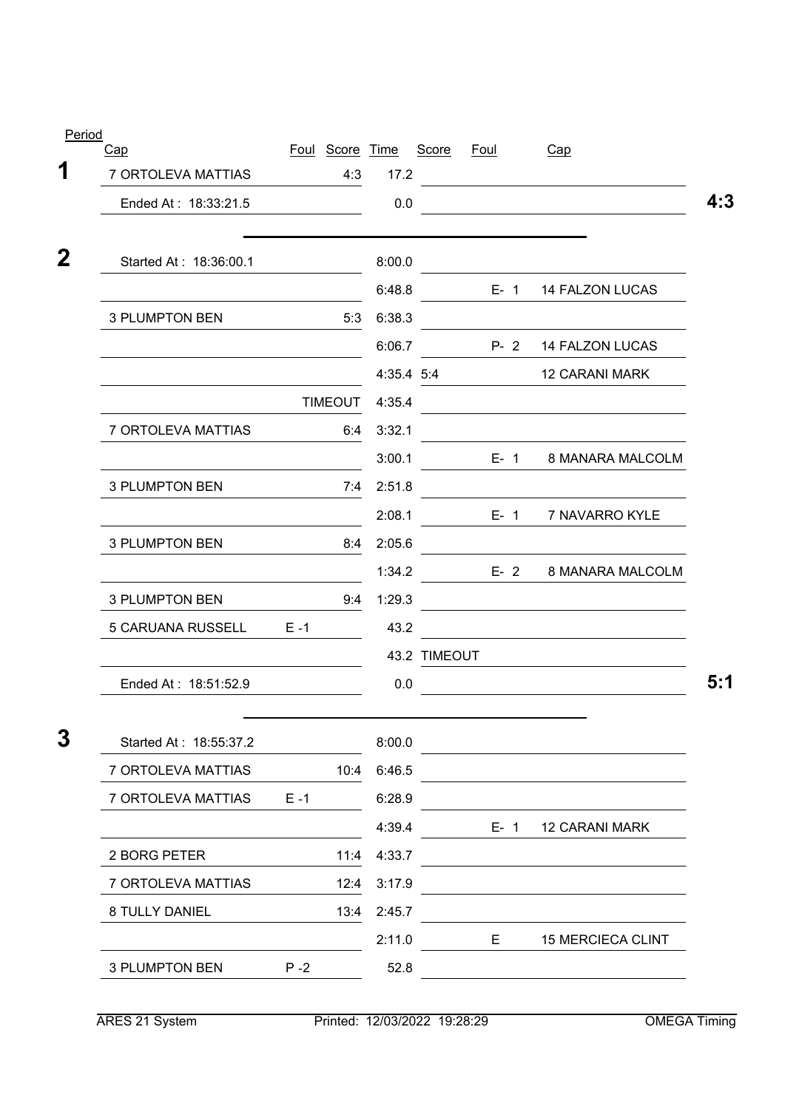| Period                    |         |                        |            |              |             |                                    |
|---------------------------|---------|------------------------|------------|--------------|-------------|------------------------------------|
| Cap<br>7 ORTOLEVA MATTIAS |         | Foul Score Time<br>4:3 | 17.2       | Score        | <u>Foul</u> | Cap                                |
| Ended At: 18:33:21.5      |         |                        | 0.0        |              |             |                                    |
| Started At: 18:36:00.1    |         |                        | 8:00.0     |              |             |                                    |
|                           |         |                        | 6:48.8     |              | $E - 1$     | <b>14 FALZON LUCAS</b>             |
| <b>3 PLUMPTON BEN</b>     |         | 5:3                    | 6:38.3     |              |             |                                    |
|                           |         |                        | 6:06.7     |              | $P - 2$     | 14 FALZON LUCAS                    |
|                           |         |                        | 4:35.4 5:4 |              |             | <b>12 CARANI MARK</b>              |
|                           |         | <b>TIMEOUT</b>         | 4:35.4     |              |             |                                    |
| 7 ORTOLEVA MATTIAS        |         | 6:4                    | 3:32.1     |              |             |                                    |
|                           |         |                        | 3:00.1     |              |             | $E - 1$<br><b>8 MANARA MALCOLM</b> |
| 3 PLUMPTON BEN            |         | 7:4                    | 2:51.8     |              |             |                                    |
|                           |         |                        | 2:08.1     |              |             | $E-1$<br>7 NAVARRO KYLE            |
| <b>3 PLUMPTON BEN</b>     |         | 8:4                    | 2:05.6     |              |             |                                    |
|                           |         |                        | 1:34.2     |              |             | $E - 2$<br>8 MANARA MALCOLM        |
| <b>3 PLUMPTON BEN</b>     |         | 9:4                    | 1:29.3     |              |             |                                    |
| 5 CARUANA RUSSELL         | $E - 1$ |                        | 43.2       |              |             |                                    |
|                           |         |                        |            | 43.2 TIMEOUT |             |                                    |
| Ended At: 18:51:52.9      |         |                        | 0.0        |              |             |                                    |
| Started At: 18:55:37.2    |         |                        | 8:00.0     |              |             |                                    |
| 7 ORTOLEVA MATTIAS        |         | 10:4                   | 6:46.5     |              |             |                                    |
| 7 ORTOLEVA MATTIAS        | $E - 1$ |                        | 6:28.9     |              |             |                                    |
|                           |         |                        | 4:39.4     |              | $E-1$       | <b>12 CARANI MARK</b>              |
| 2 BORG PETER              |         | 11:4                   | 4:33.7     |              |             |                                    |
| 7 ORTOLEVA MATTIAS        |         | 12:4                   | 3:17.9     |              |             |                                    |
| 8 TULLY DANIEL            |         | 13:4                   | 2:45.7     |              |             |                                    |
|                           |         |                        | 2:11.0     |              | E.          | <b>15 MERCIECA CLINT</b>           |
| <b>3 PLUMPTON BEN</b>     | $P - 2$ |                        | 52.8       |              |             |                                    |